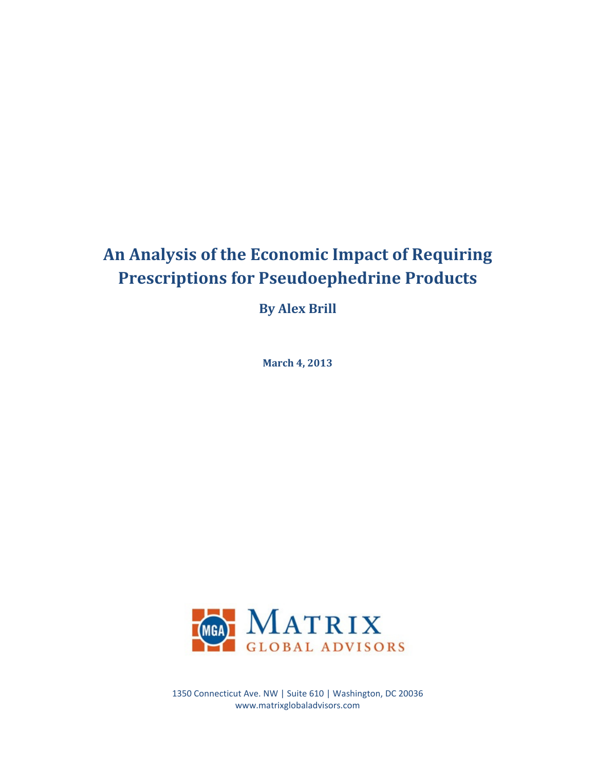# **An Analysis of the Economic Impact of Requiring Prescriptions for Pseudoephedrine Products**

**By Alex Brill**

**March 4, 2013**



1350 Connecticut Ave. NW | Suite 610 | Washington, DC 20036 www.matrixglobaladvisors.com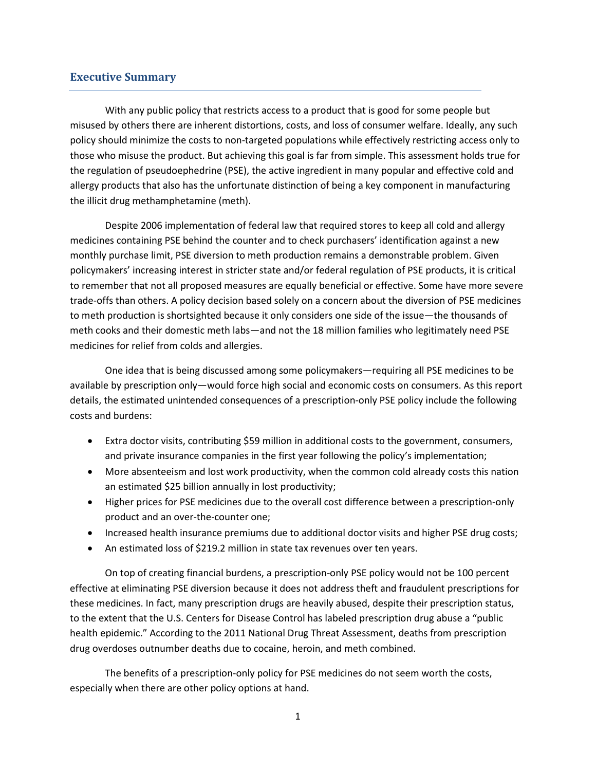### **Executive Summary**

With any public policy that restricts access to a product that is good for some people but misused by others there are inherent distortions, costs, and loss of consumer welfare. Ideally, any such policy should minimize the costs to non-targeted populations while effectively restricting access only to those who misuse the product. But achieving this goal is far from simple. This assessment holds true for the regulation of pseudoephedrine (PSE), the active ingredient in many popular and effective cold and allergy products that also has the unfortunate distinction of being a key component in manufacturing the illicit drug methamphetamine (meth).

Despite 2006 implementation of federal law that required stores to keep all cold and allergy medicines containing PSE behind the counter and to check purchasers' identification against a new monthly purchase limit, PSE diversion to meth production remains a demonstrable problem. Given policymakers' increasing interest in stricter state and/or federal regulation of PSE products, it is critical to remember that not all proposed measures are equally beneficial or effective. Some have more severe trade-offs than others. A policy decision based solely on a concern about the diversion of PSE medicines to meth production is shortsighted because it only considers one side of the issue—the thousands of meth cooks and their domestic meth labs—and not the 18 million families who legitimately need PSE medicines for relief from colds and allergies.

One idea that is being discussed among some policymakers—requiring all PSE medicines to be available by prescription only—would force high social and economic costs on consumers. As this report details, the estimated unintended consequences of a prescription-only PSE policy include the following costs and burdens:

- Extra doctor visits, contributing \$59 million in additional costs to the government, consumers, and private insurance companies in the first year following the policy's implementation;
- More absenteeism and lost work productivity, when the common cold already costs this nation an estimated \$25 billion annually in lost productivity;
- Higher prices for PSE medicines due to the overall cost difference between a prescription-only product and an over-the-counter one;
- Increased health insurance premiums due to additional doctor visits and higher PSE drug costs;
- An estimated loss of \$219.2 million in state tax revenues over ten years.

On top of creating financial burdens, a prescription-only PSE policy would not be 100 percent effective at eliminating PSE diversion because it does not address theft and fraudulent prescriptions for these medicines. In fact, many prescription drugs are heavily abused, despite their prescription status, to the extent that the U.S. Centers for Disease Control has labeled prescription drug abuse a "public health epidemic." According to the 2011 National Drug Threat Assessment, deaths from prescription drug overdoses outnumber deaths due to cocaine, heroin, and meth combined.

The benefits of a prescription-only policy for PSE medicines do not seem worth the costs, especially when there are other policy options at hand.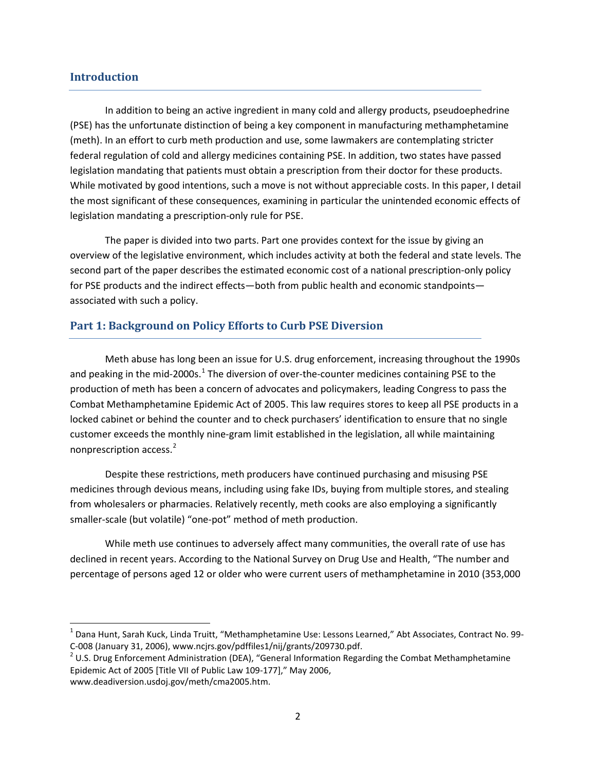### **Introduction**

In addition to being an active ingredient in many cold and allergy products, pseudoephedrine (PSE) has the unfortunate distinction of being a key component in manufacturing methamphetamine (meth). In an effort to curb meth production and use, some lawmakers are contemplating stricter federal regulation of cold and allergy medicines containing PSE. In addition, two states have passed legislation mandating that patients must obtain a prescription from their doctor for these products. While motivated by good intentions, such a move is not without appreciable costs. In this paper, I detail the most significant of these consequences, examining in particular the unintended economic effects of legislation mandating a prescription-only rule for PSE.

The paper is divided into two parts. Part one provides context for the issue by giving an overview of the legislative environment, which includes activity at both the federal and state levels. The second part of the paper describes the estimated economic cost of a national prescription-only policy for PSE products and the indirect effects—both from public health and economic standpoints associated with such a policy.

## **Part 1: Background on Policy Efforts to Curb PSE Diversion**

Meth abuse has long been an issue for U.S. drug enforcement, increasing throughout the 1990s and peaking in the mid-2000s.<sup>[1](#page-2-0)</sup> The diversion of over-the-counter medicines containing PSE to the production of meth has been a concern of advocates and policymakers, leading Congress to pass the Combat Methamphetamine Epidemic Act of 2005. This law requires stores to keep all PSE products in a locked cabinet or behind the counter and to check purchasers' identification to ensure that no single customer exceeds the monthly nine-gram limit established in the legislation, all while maintaining nonprescription access. [2](#page-2-1)

Despite these restrictions, meth producers have continued purchasing and misusing PSE medicines through devious means, including using fake IDs, buying from multiple stores, and stealing from wholesalers or pharmacies. Relatively recently, meth cooks are also employing a significantly smaller-scale (but volatile) "one-pot" method of meth production.

While meth use continues to adversely affect many communities, the overall rate of use has declined in recent years. According to the National Survey on Drug Use and Health, "The number and percentage of persons aged 12 or older who were current users of methamphetamine in 2010 (353,000

<span id="page-2-0"></span> $1$  Dana Hunt, Sarah Kuck, Linda Truitt, "Methamphetamine Use: Lessons Learned," Abt Associates, Contract No. 99-C-008 (January 31, 2006), www.ncjrs.gov/pdffiles1/nij/grants/209730.pdf.<br><sup>2</sup> U.S. Drug Enforcement Administration (DEA), "General Information Regarding the Combat Methamphetamine

<span id="page-2-1"></span>Epidemic Act of 2005 [Title VII of Public Law 109-177]," May 2006,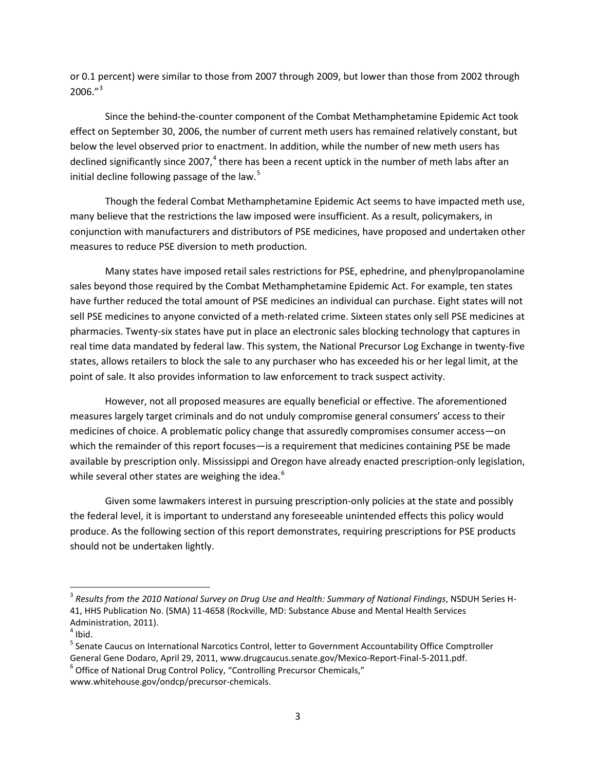or 0.1 percent) were similar to those from 2007 through 2009, but lower than those from 2002 through  $2006."^{3}$  $2006."^{3}$  $2006."^{3}$ 

Since the behind-the-counter component of the Combat Methamphetamine Epidemic Act took effect on September 30, 2006, the number of current meth users has remained relatively constant, but below the level observed prior to enactment. In addition, while the number of new meth users has declined significantly since 2007,<sup>[4](#page-3-1)</sup> there has been a recent uptick in the number of meth labs after an initial decline following passage of the law.<sup>[5](#page-3-2)</sup>

Though the federal Combat Methamphetamine Epidemic Act seems to have impacted meth use, many believe that the restrictions the law imposed were insufficient. As a result, policymakers, in conjunction with manufacturers and distributors of PSE medicines, have proposed and undertaken other measures to reduce PSE diversion to meth production.

Many states have imposed retail sales restrictions for PSE, ephedrine, and phenylpropanolamine sales beyond those required by the Combat Methamphetamine Epidemic Act. For example, ten states have further reduced the total amount of PSE medicines an individual can purchase. Eight states will not sell PSE medicines to anyone convicted of a meth-related crime. Sixteen states only sell PSE medicines at pharmacies. Twenty-six states have put in place an electronic sales blocking technology that captures in real time data mandated by federal law. This system, the National Precursor Log Exchange in twenty-five states, allows retailers to block the sale to any purchaser who has exceeded his or her legal limit, at the point of sale. It also provides information to law enforcement to track suspect activity.

However, not all proposed measures are equally beneficial or effective. The aforementioned measures largely target criminals and do not unduly compromise general consumers' access to their medicines of choice. A problematic policy change that assuredly compromises consumer access—on which the remainder of this report focuses—is a requirement that medicines containing PSE be made available by prescription only. Mississippi and Oregon have already enacted prescription-only legislation, while several other states are weighing the idea.<sup>[6](#page-3-3)</sup>

Given some lawmakers interest in pursuing prescription-only policies at the state and possibly the federal level, it is important to understand any foreseeable unintended effects this policy would produce. As the following section of this report demonstrates, requiring prescriptions for PSE products should not be undertaken lightly.

<span id="page-3-0"></span> <sup>3</sup> *Results from the 2010 National Survey on Drug Use and Health: Summary of National Findings*, NSDUH Series H-41, HHS Publication No. (SMA) 11-4658 (Rockville, MD: Substance Abuse and Mental Health Services Administration, 2011).<br><sup>4</sup> Ibid.

<span id="page-3-1"></span>

<span id="page-3-2"></span><sup>&</sup>lt;sup>5</sup> Senate Caucus on International Narcotics Control, letter to Government Accountability Office Comptroller General Gene Dodaro, April 29, 2011, www.drugcaucus.senate.gov/Mexico-Report-Final-5-2011.pdf.<br><sup>6</sup> Office of National Drug Control Policy, "Controlling Precursor Chemicals,"

<span id="page-3-3"></span>www.whitehouse.gov/ondcp/precursor-chemicals.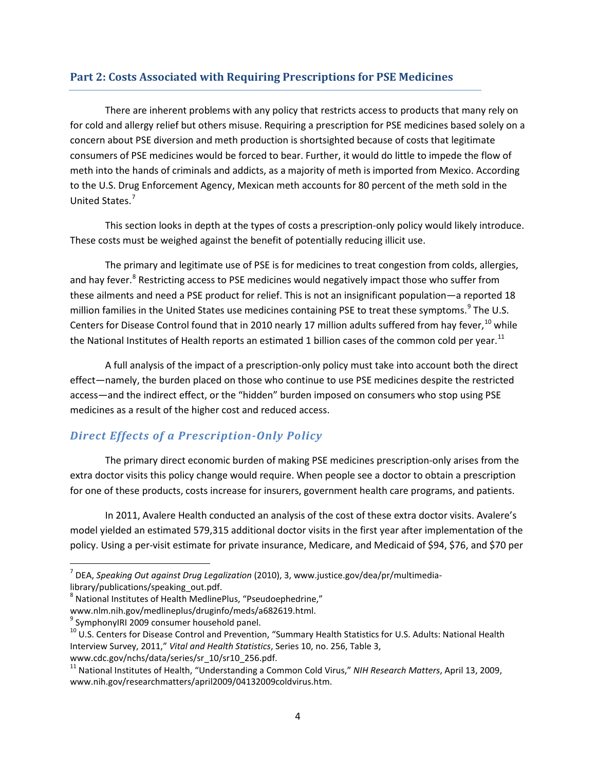# **Part 2: Costs Associated with Requiring Prescriptions for PSE Medicines**

There are inherent problems with any policy that restricts access to products that many rely on for cold and allergy relief but others misuse. Requiring a prescription for PSE medicines based solely on a concern about PSE diversion and meth production is shortsighted because of costs that legitimate consumers of PSE medicines would be forced to bear. Further, it would do little to impede the flow of meth into the hands of criminals and addicts, as a majority of meth is imported from Mexico. According to the U.S. Drug Enforcement Agency, Mexican meth accounts for 80 percent of the meth sold in the United States. [7](#page-4-0)

This section looks in depth at the types of costs a prescription-only policy would likely introduce. These costs must be weighed against the benefit of potentially reducing illicit use.

The primary and legitimate use of PSE is for medicines to treat congestion from colds, allergies, and hay fever.<sup>[8](#page-4-1)</sup> Restricting access to PSE medicines would negatively impact those who suffer from these ailments and need a PSE product for relief. This is not an insignificant population—a reported 18 million families in the United States use medicines containing PSE to treat these symptoms.<sup>[9](#page-4-2)</sup> The U.S. Centers for Disease Control found that in 20[10](#page-4-3) nearly 17 million adults suffered from hay fever,<sup>10</sup> while the National Institutes of Health reports an estimated 1 billion cases of the common cold per year.<sup>[11](#page-4-4)</sup>

A full analysis of the impact of a prescription-only policy must take into account both the direct effect—namely, the burden placed on those who continue to use PSE medicines despite the restricted access—and the indirect effect, or the "hidden" burden imposed on consumers who stop using PSE medicines as a result of the higher cost and reduced access.

# *Direct Effects of a Prescription-Only Policy*

The primary direct economic burden of making PSE medicines prescription-only arises from the extra doctor visits this policy change would require. When people see a doctor to obtain a prescription for one of these products, costs increase for insurers, government health care programs, and patients.

In 2011, Avalere Health conducted an analysis of the cost of these extra doctor visits. Avalere's model yielded an estimated 579,315 additional doctor visits in the first year after implementation of the policy. Using a per-visit estimate for private insurance, Medicare, and Medicaid of \$94, \$76, and \$70 per

<span id="page-4-0"></span> <sup>7</sup> DEA, *Speaking Out against Drug Legalization* (2010), 3, www.justice.gov/dea/pr/multimedialibrary/publications/speaking\_out.pdf.

<span id="page-4-1"></span><sup>&</sup>lt;sup>8</sup> National Institutes of Health MedlinePlus, "Pseudoephedrine,"

www.nlm.nih.gov/medlineplus/druginfo/meds/a682619.html.<br><sup>9</sup> SymphonyIRI 2009 consumer household panel.

<span id="page-4-2"></span>

<span id="page-4-3"></span> $10$  U.S. Centers for Disease Control and Prevention, "Summary Health Statistics for U.S. Adults: National Health Interview Survey, 2011," *Vital and Health Statistics*, Series 10, no. 256, Table 3,

<span id="page-4-4"></span>www.cdc.gov/nchs/data/series/sr\_10/sr10\_256.pdf.<br><sup>11</sup> National Institutes of Health, "Understanding a Common Cold Virus," *NIH Research Matters*, April 13, 2009, www.nih.gov/researchmatters/april2009/04132009coldvirus.htm.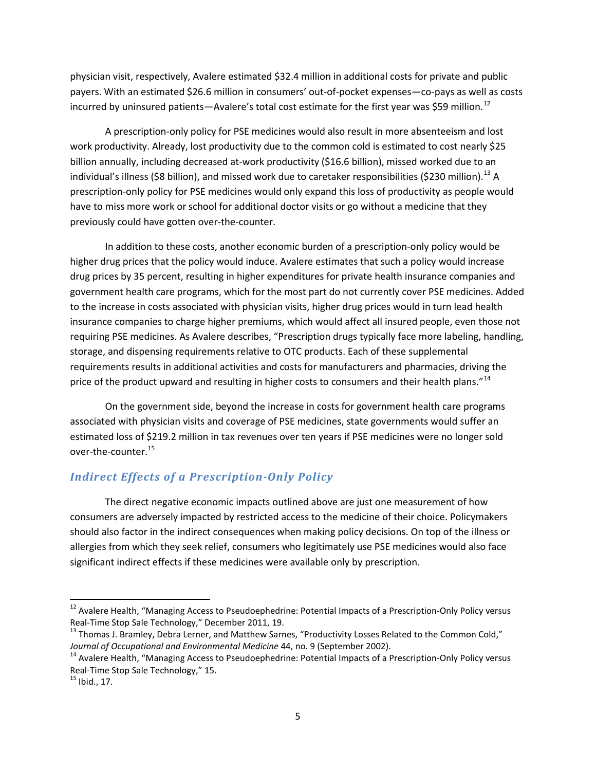physician visit, respectively, Avalere estimated \$32.4 million in additional costs for private and public payers. With an estimated \$26.6 million in consumers' out-of-pocket expenses—co-pays as well as costs incurred by uninsured patients—Avalere's total cost estimate for the first year was \$59 million.<sup>[12](#page-5-0)</sup>

A prescription-only policy for PSE medicines would also result in more absenteeism and lost work productivity. Already, lost productivity due to the common cold is estimated to cost nearly \$25 billion annually, including decreased at-work productivity (\$16.6 billion), missed worked due to an individual's illness (\$8 billion), and missed work due to caretaker responsibilities (\$230 million).<sup>[13](#page-5-1)</sup> A prescription-only policy for PSE medicines would only expand this loss of productivity as people would have to miss more work or school for additional doctor visits or go without a medicine that they previously could have gotten over-the-counter.

In addition to these costs, another economic burden of a prescription-only policy would be higher drug prices that the policy would induce. Avalere estimates that such a policy would increase drug prices by 35 percent, resulting in higher expenditures for private health insurance companies and government health care programs, which for the most part do not currently cover PSE medicines. Added to the increase in costs associated with physician visits, higher drug prices would in turn lead health insurance companies to charge higher premiums, which would affect all insured people, even those not requiring PSE medicines. As Avalere describes, "Prescription drugs typically face more labeling, handling, storage, and dispensing requirements relative to OTC products. Each of these supplemental requirements results in additional activities and costs for manufacturers and pharmacies, driving the price of the product upward and resulting in higher costs to consumers and their health plans."<sup>[14](#page-5-2)</sup>

On the government side, beyond the increase in costs for government health care programs associated with physician visits and coverage of PSE medicines, state governments would suffer an estimated loss of \$219.2 million in tax revenues over ten years if PSE medicines were no longer sold over-the-counter. [15](#page-5-3)

# *Indirect Effects of a Prescription-Only Policy*

The direct negative economic impacts outlined above are just one measurement of how consumers are adversely impacted by restricted access to the medicine of their choice. Policymakers should also factor in the indirect consequences when making policy decisions. On top of the illness or allergies from which they seek relief, consumers who legitimately use PSE medicines would also face significant indirect effects if these medicines were available only by prescription.

<span id="page-5-0"></span><sup>&</sup>lt;sup>12</sup> Avalere Health, "Managing Access to Pseudoephedrine: Potential Impacts of a Prescription-Only Policy versus Real-Time Stop Sale Technology," December 2011, 19.<br><sup>13</sup> Thomas J. Bramley, Debra Lerner, and Matthew Sarnes, "Productivity Losses Related to the Common Cold,"

<span id="page-5-1"></span>*Journal of Occupational and Environmental Medicine* 44, no. 9 (September 2002).<br><sup>14</sup> Avalere Health, "Managing Access to Pseudoephedrine: Potential Impacts of a Prescription-Only Policy versus

<span id="page-5-2"></span>Real-Time Stop Sale Technology," 15.<br><sup>15</sup> Ibid., 17.

<span id="page-5-3"></span>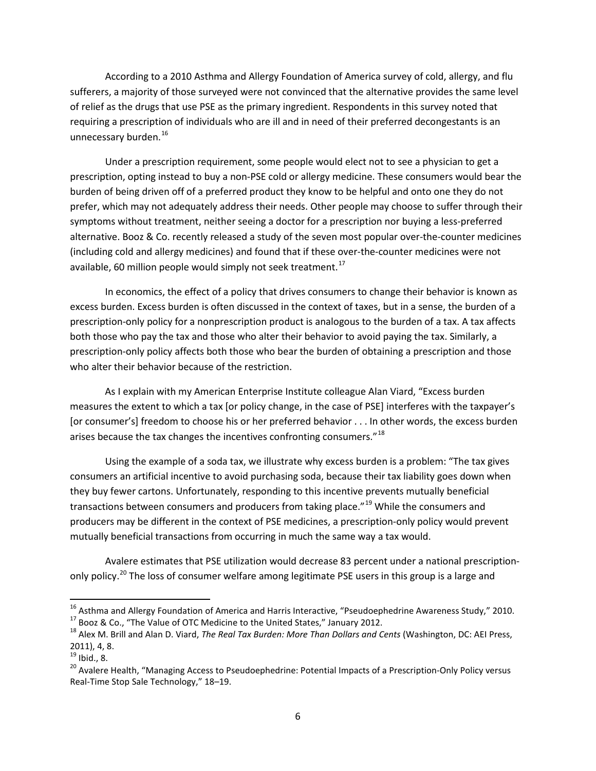According to a 2010 Asthma and Allergy Foundation of America survey of cold, allergy, and flu sufferers, a majority of those surveyed were not convinced that the alternative provides the same level of relief as the drugs that use PSE as the primary ingredient. Respondents in this survey noted that requiring a prescription of individuals who are ill and in need of their preferred decongestants is an unnecessary burden.<sup>[16](#page-6-0)</sup>

Under a prescription requirement, some people would elect not to see a physician to get a prescription, opting instead to buy a non-PSE cold or allergy medicine. These consumers would bear the burden of being driven off of a preferred product they know to be helpful and onto one they do not prefer, which may not adequately address their needs. Other people may choose to suffer through their symptoms without treatment, neither seeing a doctor for a prescription nor buying a less-preferred alternative. Booz & Co. recently released a study of the seven most popular over-the-counter medicines (including cold and allergy medicines) and found that if these over-the-counter medicines were not available, 60 million people would simply not seek treatment.<sup>[17](#page-6-1)</sup>

In economics, the effect of a policy that drives consumers to change their behavior is known as excess burden. Excess burden is often discussed in the context of taxes, but in a sense, the burden of a prescription-only policy for a nonprescription product is analogous to the burden of a tax. A tax affects both those who pay the tax and those who alter their behavior to avoid paying the tax. Similarly, a prescription-only policy affects both those who bear the burden of obtaining a prescription and those who alter their behavior because of the restriction.

As I explain with my American Enterprise Institute colleague Alan Viard, "Excess burden measures the extent to which a tax [or policy change, in the case of PSE] interferes with the taxpayer's [or consumer's] freedom to choose his or her preferred behavior . . . In other words, the excess burden arises because the tax changes the incentives confronting consumers."<sup>[18](#page-6-2)</sup>

Using the example of a soda tax, we illustrate why excess burden is a problem: "The tax gives consumers an artificial incentive to avoid purchasing soda, because their tax liability goes down when they buy fewer cartons. Unfortunately, responding to this incentive prevents mutually beneficial transactions between consumers and producers from taking place."<sup>[19](#page-6-3)</sup> While the consumers and producers may be different in the context of PSE medicines, a prescription-only policy would prevent mutually beneficial transactions from occurring in much the same way a tax would.

Avalere estimates that PSE utilization would decrease 83 percent under a national prescription-only policy.<sup>[20](#page-6-4)</sup> The loss of consumer welfare among legitimate PSE users in this group is a large and

<sup>16&</sup>lt;br><sup>16</sup> Asthma and Allergy Foundation of America and Harris Interactive, "Pseudoephedrine Awareness Study," 2010.

<span id="page-6-2"></span><span id="page-6-1"></span><span id="page-6-0"></span><sup>&</sup>lt;sup>17</sup> Booz & Co., "The Value of OTC Medicine to the United States," January 2012.<br><sup>18</sup> Alex M. Brill and Alan D. Viard, *The Real Tax Burden: More Than Dollars and Cents* (Washington, DC: AEI Press, 2011), 4, 8.<br><sup>19</sup> Ibid., 8.

<span id="page-6-3"></span>

<span id="page-6-4"></span><sup>&</sup>lt;sup>20</sup> Avalere Health, "Managing Access to Pseudoephedrine: Potential Impacts of a Prescription-Only Policy versus Real-Time Stop Sale Technology," 18–19.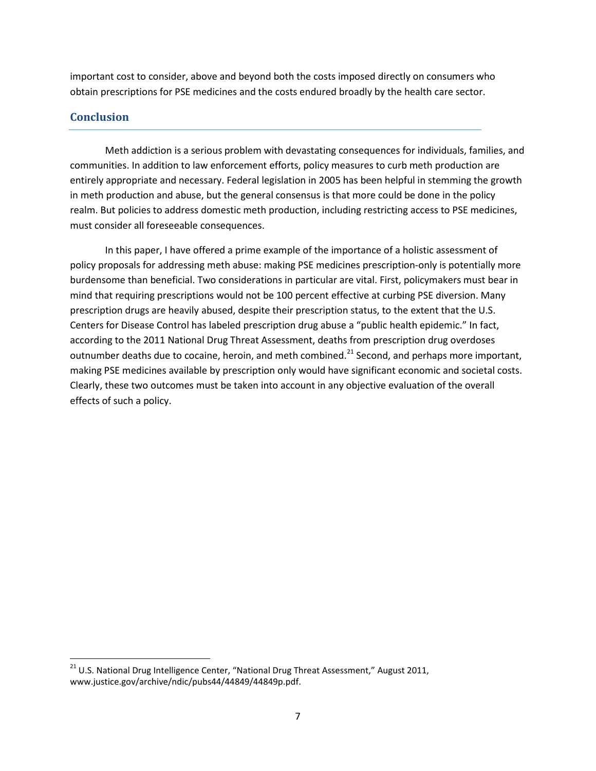important cost to consider, above and beyond both the costs imposed directly on consumers who obtain prescriptions for PSE medicines and the costs endured broadly by the health care sector.

# **Conclusion**

Meth addiction is a serious problem with devastating consequences for individuals, families, and communities. In addition to law enforcement efforts, policy measures to curb meth production are entirely appropriate and necessary. Federal legislation in 2005 has been helpful in stemming the growth in meth production and abuse, but the general consensus is that more could be done in the policy realm. But policies to address domestic meth production, including restricting access to PSE medicines, must consider all foreseeable consequences.

In this paper, I have offered a prime example of the importance of a holistic assessment of policy proposals for addressing meth abuse: making PSE medicines prescription-only is potentially more burdensome than beneficial. Two considerations in particular are vital. First, policymakers must bear in mind that requiring prescriptions would not be 100 percent effective at curbing PSE diversion. Many prescription drugs are heavily abused, despite their prescription status, to the extent that the U.S. Centers for Disease Control has labeled prescription drug abuse a "public health epidemic." In fact, according to the 2011 National Drug Threat Assessment, deaths from prescription drug overdoses outnumber deaths due to cocaine, heroin, and meth combined.<sup>[21](#page-7-0)</sup> Second, and perhaps more important, making PSE medicines available by prescription only would have significant economic and societal costs. Clearly, these two outcomes must be taken into account in any objective evaluation of the overall effects of such a policy.

<span id="page-7-0"></span><sup>&</sup>lt;sup>21</sup> U.S. National Drug Intelligence Center, "National Drug Threat Assessment," August 2011, www.justice.gov/archive/ndic/pubs44/44849/44849p.pdf.